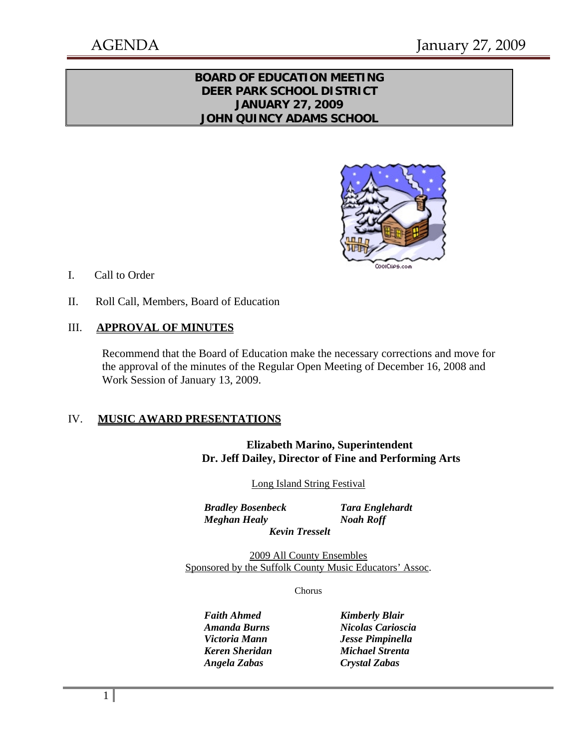## **BOARD OF EDUCATION MEETING DEER PARK SCHOOL DISTRICT JANUARY 27, 2009 JOHN QUINCY ADAMS SCHOOL**



- I. Call to Order
- II. Roll Call, Members, Board of Education

### III. **APPROVAL OF MINUTES**

Recommend that the Board of Education make the necessary corrections and move for the approval of the minutes of the Regular Open Meeting of December 16, 2008 and Work Session of January 13, 2009.

#### IV. **MUSIC AWARD PRESENTATIONS**

### **Elizabeth Marino, Superintendent Dr. Jeff Dailey, Director of Fine and Performing Arts**

Long Island String Festival

 *Bradley Bosenbeck Tara Englehardt Meghan Healy Noah Roff Kevin Tresselt* 

2009 All County Ensembles Sponsored by the Suffolk County Music Educators' Assoc.

Chorus

**Faith Ahmed Kimberly Blair**  *Angela Zabas Crystal Zabas* 

 *Amanda Burns Nicolas Carioscia Victoria Mann Jesse Pimpinella Keren Sheridan Michael Strenta*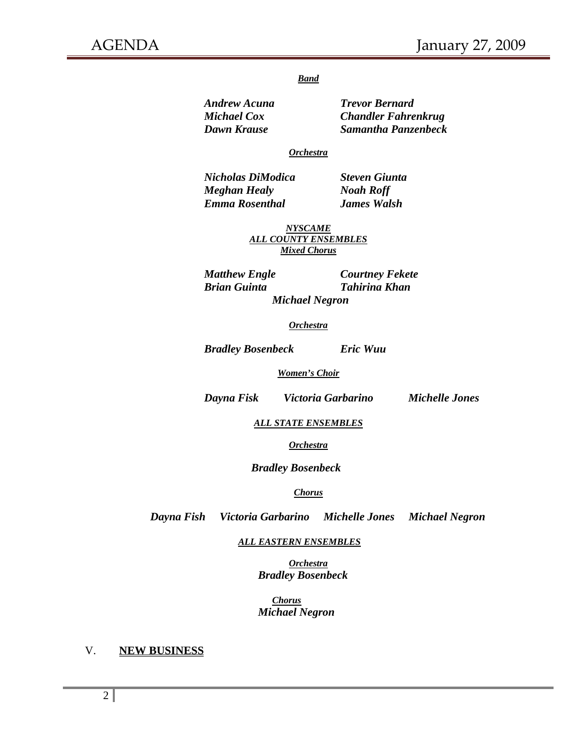#### *Band*

 *Andrew Acuna Trevor Bernard Michael Cox Chandler Fahrenkrug* 

 *Dawn Krause Samantha Panzenbeck* 

#### *Orchestra*

 *Nicholas DiModica Steven Giunta Meghan Healy Noah Roff Emma Rosenthal James Walsh* 

*NYSCAME ALL COUNTY ENSEMBLES Mixed Chorus*

 *Brian Guinta Tahirina Khan Michael Negron* 

 *Matthew Engle Courtney Fekete* 

#### *Orchestra*

 *Bradley Bosenbeck Eric Wuu* 

#### *Women's Choir*

 *Dayna Fisk Victoria Garbarino Michelle Jones* 

*ALL STATE ENSEMBLES*

*Orchestra*

 *Bradley Bosenbeck* 

#### *Chorus*

 *Dayna Fish Victoria Garbarino Michelle Jones Michael Negron* 

 *ALL EASTERN ENSEMBLES*

*Orchestra Bradley Bosenbeck* 

 *Chorus Michael Negron* 

### V. **NEW BUSINESS**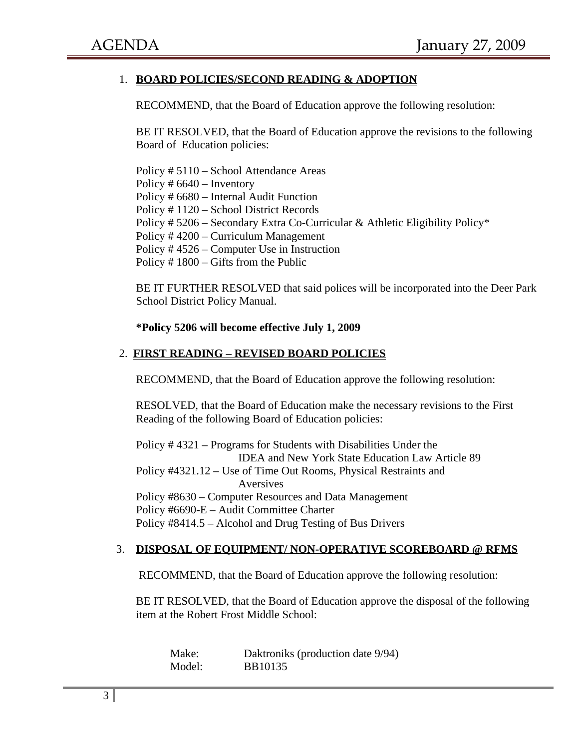### 1. **BOARD POLICIES/SECOND READING & ADOPTION**

RECOMMEND, that the Board of Education approve the following resolution:

BE IT RESOLVED, that the Board of Education approve the revisions to the following Board of Education policies:

 Policy # 5110 – School Attendance Areas Policy # 6640 – Inventory Policy # 6680 – Internal Audit Function Policy # 1120 – School District Records Policy # 5206 – Secondary Extra Co-Curricular & Athletic Eligibility Policy\* Policy # 4200 – Curriculum Management Policy # 4526 – Computer Use in Instruction Policy # 1800 – Gifts from the Public

BE IT FURTHER RESOLVED that said polices will be incorporated into the Deer Park School District Policy Manual.

#### **\*Policy 5206 will become effective July 1, 2009**

#### 2. **FIRST READING – REVISED BOARD POLICIES**

RECOMMEND, that the Board of Education approve the following resolution:

RESOLVED, that the Board of Education make the necessary revisions to the First Reading of the following Board of Education policies:

Policy # 4321 – Programs for Students with Disabilities Under the IDEA and New York State Education Law Article 89 Policy #4321.12 – Use of Time Out Rooms, Physical Restraints and Aversives Policy #8630 – Computer Resources and Data Management Policy #6690-E – Audit Committee Charter Policy #8414.5 – Alcohol and Drug Testing of Bus Drivers

#### 3. **DISPOSAL OF EQUIPMENT/ NON-OPERATIVE SCOREBOARD @ RFMS**

RECOMMEND, that the Board of Education approve the following resolution:

BE IT RESOLVED, that the Board of Education approve the disposal of the following item at the Robert Frost Middle School:

| Make:  | Daktroniks (production date 9/94) |
|--------|-----------------------------------|
| Model: | <b>BB10135</b>                    |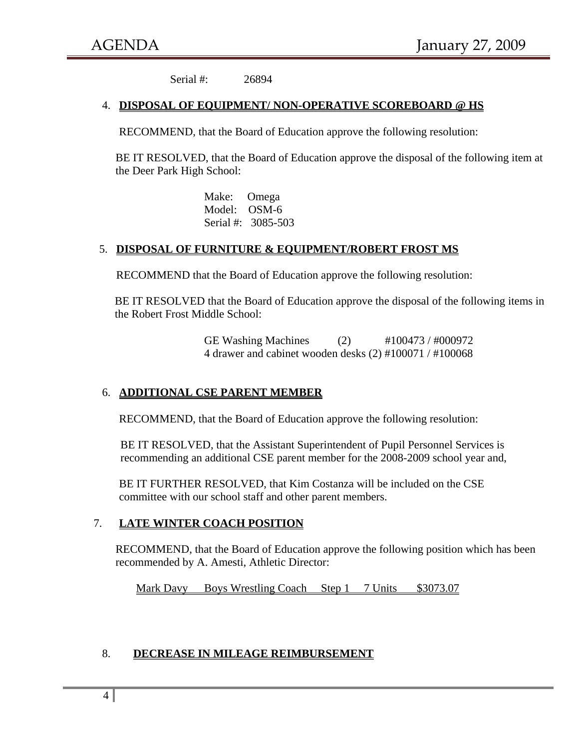Serial #: 26894

#### 4. **DISPOSAL OF EQUIPMENT/ NON-OPERATIVE SCOREBOARD @ HS**

RECOMMEND, that the Board of Education approve the following resolution:

BE IT RESOLVED, that the Board of Education approve the disposal of the following item at the Deer Park High School:

> Make: Omega Model: OSM-6 Serial #: 3085-503

### 5. **DISPOSAL OF FURNITURE & EQUIPMENT/ROBERT FROST MS**

RECOMMEND that the Board of Education approve the following resolution:

BE IT RESOLVED that the Board of Education approve the disposal of the following items in the Robert Frost Middle School:

> GE Washing Machines (2)  $\#100473 / \#000972$ 4 drawer and cabinet wooden desks (2) #100071 / #100068

### 6. **ADDITIONAL CSE PARENT MEMBER**

RECOMMEND, that the Board of Education approve the following resolution:

BE IT RESOLVED, that the Assistant Superintendent of Pupil Personnel Services is recommending an additional CSE parent member for the 2008-2009 school year and,

 BE IT FURTHER RESOLVED, that Kim Costanza will be included on the CSE committee with our school staff and other parent members.

### 7. **LATE WINTER COACH POSITION**

RECOMMEND, that the Board of Education approve the following position which has been recommended by A. Amesti, Athletic Director:

Mark Davy Boys Wrestling Coach Step 1 7 Units \$3073.07

### 8. **DECREASE IN MILEAGE REIMBURSEMENT**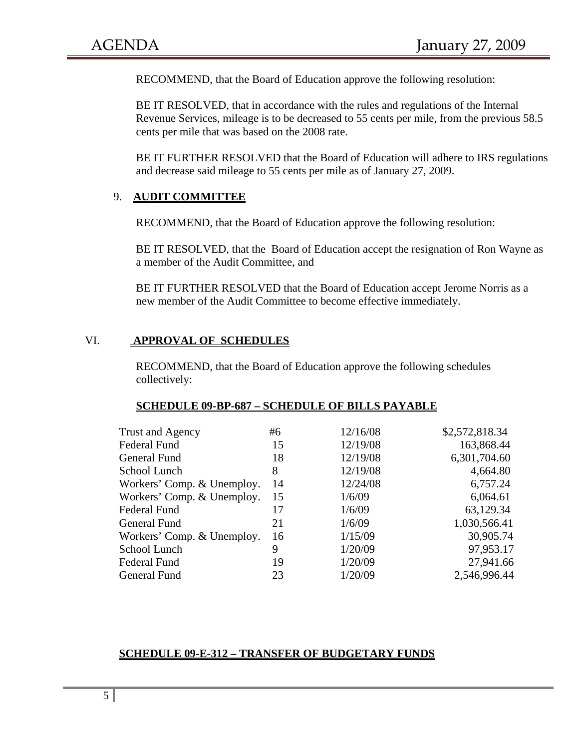RECOMMEND, that the Board of Education approve the following resolution:

BE IT RESOLVED, that in accordance with the rules and regulations of the Internal Revenue Services, mileage is to be decreased to 55 cents per mile, from the previous 58.5 cents per mile that was based on the 2008 rate.

BE IT FURTHER RESOLVED that the Board of Education will adhere to IRS regulations and decrease said mileage to 55 cents per mile as of January 27, 2009.

### 9. **AUDIT COMMITTEE**

RECOMMEND, that the Board of Education approve the following resolution:

BE IT RESOLVED, that the Board of Education accept the resignation of Ron Wayne as a member of the Audit Committee, and

BE IT FURTHER RESOLVED that the Board of Education accept Jerome Norris as a new member of the Audit Committee to become effective immediately.

### VI. **APPROVAL OF SCHEDULES**

RECOMMEND, that the Board of Education approve the following schedules collectively:

#### **SCHEDULE 09-BP-687 – SCHEDULE OF BILLS PAYABLE**

| Trust and Agency           | #6 | 12/16/08 | \$2,572,818.34 |
|----------------------------|----|----------|----------------|
| <b>Federal Fund</b>        | 15 | 12/19/08 | 163,868.44     |
| General Fund               | 18 | 12/19/08 | 6,301,704.60   |
| School Lunch               | 8  | 12/19/08 | 4,664.80       |
| Workers' Comp. & Unemploy. | 14 | 12/24/08 | 6,757.24       |
| Workers' Comp. & Unemploy. | 15 | 1/6/09   | 6,064.61       |
| <b>Federal Fund</b>        | 17 | 1/6/09   | 63,129.34      |
| General Fund               | 21 | 1/6/09   | 1,030,566.41   |
| Workers' Comp. & Unemploy. | 16 | 1/15/09  | 30,905.74      |
| School Lunch               | 9  | 1/20/09  | 97,953.17      |
| <b>Federal Fund</b>        | 19 | 1/20/09  | 27,941.66      |
| General Fund               | 23 | 1/20/09  | 2,546,996.44   |
|                            |    |          |                |

#### **SCHEDULE 09-E-312 – TRANSFER OF BUDGETARY FUNDS**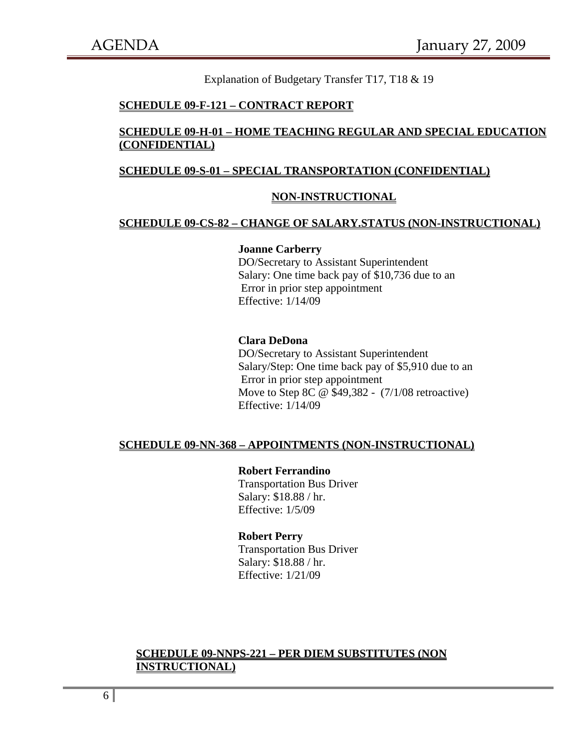Explanation of Budgetary Transfer T17, T18 & 19

#### **SCHEDULE 09-F-121 – CONTRACT REPORT**

### **SCHEDULE 09-H-01 – HOME TEACHING REGULAR AND SPECIAL EDUCATION (CONFIDENTIAL)**

#### **SCHEDULE 09-S-01 – SPECIAL TRANSPORTATION (CONFIDENTIAL)**

#### **NON-INSTRUCTIONAL**

#### **SCHEDULE 09-CS-82 – CHANGE OF SALARY.STATUS (NON-INSTRUCTIONAL)**

#### **Joanne Carberry**

DO/Secretary to Assistant Superintendent Salary: One time back pay of \$10,736 due to an Error in prior step appointment Effective: 1/14/09

#### **Clara DeDona**

DO/Secretary to Assistant Superintendent Salary/Step: One time back pay of \$5,910 due to an Error in prior step appointment Move to Step 8C @ \$49,382 - (7/1/08 retroactive) Effective: 1/14/09

#### **SCHEDULE 09-NN-368 – APPOINTMENTS (NON-INSTRUCTIONAL)**

#### **Robert Ferrandino**

Transportation Bus Driver Salary: \$18.88 / hr. Effective: 1/5/09

#### **Robert Perry**

Transportation Bus Driver Salary: \$18.88 / hr. Effective: 1/21/09

### **SCHEDULE 09-NNPS-221 – PER DIEM SUBSTITUTES (NON INSTRUCTIONAL)**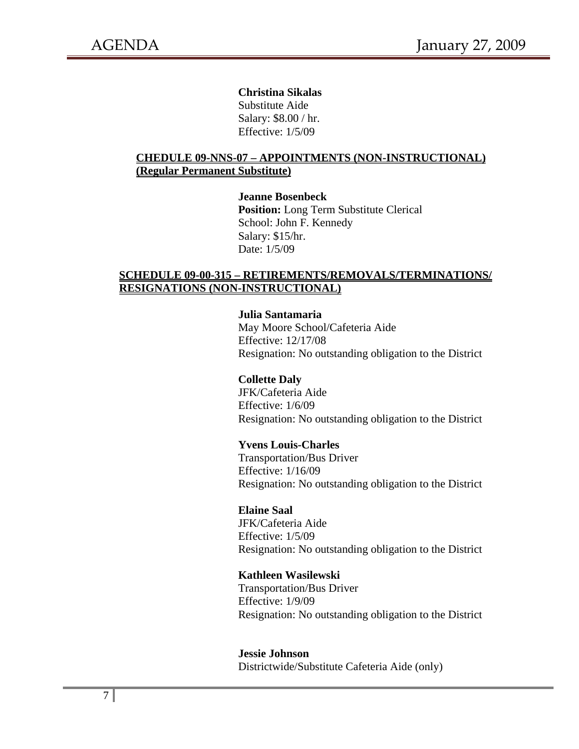#### **Christina Sikalas**

Substitute Aide Salary: \$8.00 / hr. Effective: 1/5/09

### **CHEDULE 09-NNS-07 – APPOINTMENTS (NON-INSTRUCTIONAL) (Regular Permanent Substitute)**

 **Jeanne Bosenbeck Position:** Long Term Substitute Clerical

School: John F. Kennedy Salary: \$15/hr. Date: 1/5/09

## **SCHEDULE 09-00-315 – RETIREMENTS/REMOVALS/TERMINATIONS/ RESIGNATIONS (NON-INSTRUCTIONAL)**

### **Julia Santamaria**

May Moore School/Cafeteria Aide Effective: 12/17/08 Resignation: No outstanding obligation to the District

### **Collette Daly**

JFK/Cafeteria Aide Effective: 1/6/09 Resignation: No outstanding obligation to the District

### **Yvens Louis-Charles**

Transportation/Bus Driver Effective: 1/16/09 Resignation: No outstanding obligation to the District

#### **Elaine Saal**

JFK/Cafeteria Aide Effective: 1/5/09 Resignation: No outstanding obligation to the District

#### **Kathleen Wasilewski**

Transportation/Bus Driver Effective: 1/9/09 Resignation: No outstanding obligation to the District

 **Jessie Johnson** Districtwide/Substitute Cafeteria Aide (only)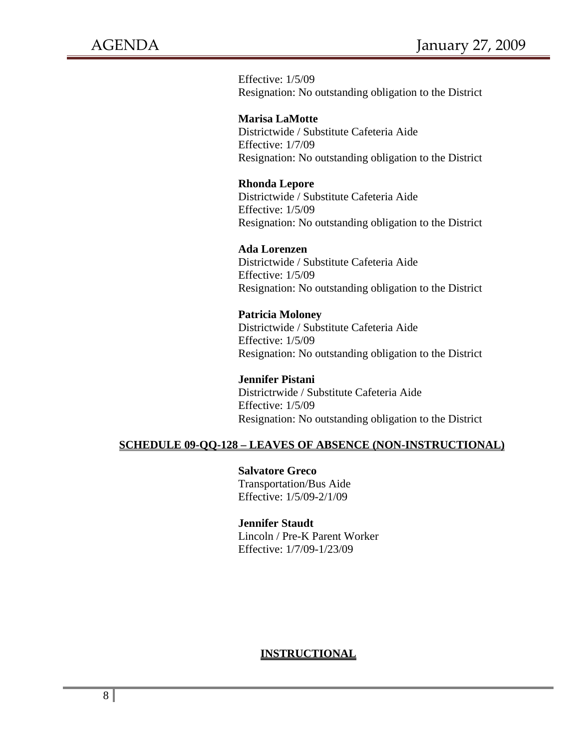Effective: 1/5/09 Resignation: No outstanding obligation to the District

**Marisa LaMotte** Districtwide / Substitute Cafeteria Aide Effective: 1/7/09 Resignation: No outstanding obligation to the District

### **Rhonda Lepore**

 Districtwide / Substitute Cafeteria Aide Effective: 1/5/09 Resignation: No outstanding obligation to the District

#### **Ada Lorenzen**

Districtwide / Substitute Cafeteria Aide Effective: 1/5/09 Resignation: No outstanding obligation to the District

#### **Patricia Moloney**

Districtwide / Substitute Cafeteria Aide Effective: 1/5/09 Resignation: No outstanding obligation to the District

**Jennifer Pistani** Districtrwide / Substitute Cafeteria Aide Effective: 1/5/09 Resignation: No outstanding obligation to the District

## **SCHEDULE 09-QQ-128 – LEAVES OF ABSENCE (NON-INSTRUCTIONAL)**

 **Salvatore Greco**  Transportation/Bus Aide Effective: 1/5/09-2/1/09

#### **Jennifer Staudt**

Lincoln / Pre-K Parent Worker Effective: 1/7/09-1/23/09

### **INSTRUCTIONAL**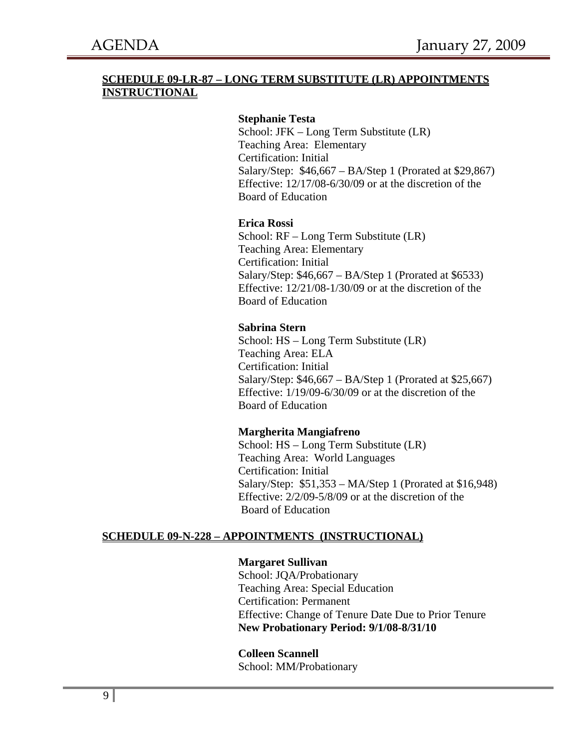## **SCHEDULE 09-LR-87 – LONG TERM SUBSTITUTE (LR) APPOINTMENTS INSTRUCTIONAL**

### **Stephanie Testa**

School: JFK – Long Term Substitute (LR) Teaching Area: Elementary Certification: Initial Salary/Step: \$46,667 – BA/Step 1 (Prorated at \$29,867) Effective: 12/17/08-6/30/09 or at the discretion of the Board of Education

#### **Erica Rossi**

School: RF – Long Term Substitute (LR) Teaching Area: Elementary Certification: Initial Salary/Step: \$46,667 – BA/Step 1 (Prorated at \$6533) Effective: 12/21/08-1/30/09 or at the discretion of the Board of Education

#### **Sabrina Stern**

School: HS – Long Term Substitute (LR) Teaching Area: ELA Certification: Initial Salary/Step: \$46,667 – BA/Step 1 (Prorated at \$25,667) Effective: 1/19/09-6/30/09 or at the discretion of the Board of Education

#### **Margherita Mangiafreno**

School: HS – Long Term Substitute (LR) Teaching Area: World Languages Certification: Initial Salary/Step: \$51,353 – MA/Step 1 (Prorated at \$16,948) Effective: 2/2/09-5/8/09 or at the discretion of the Board of Education

### **SCHEDULE 09-N-228 – APPOINTMENTS (INSTRUCTIONAL)**

#### **Margaret Sullivan**

School: JQA/Probationary Teaching Area: Special Education Certification: Permanent Effective: Change of Tenure Date Due to Prior Tenure **New Probationary Period: 9/1/08-8/31/10** 

#### **Colleen Scannell**

School: MM/Probationary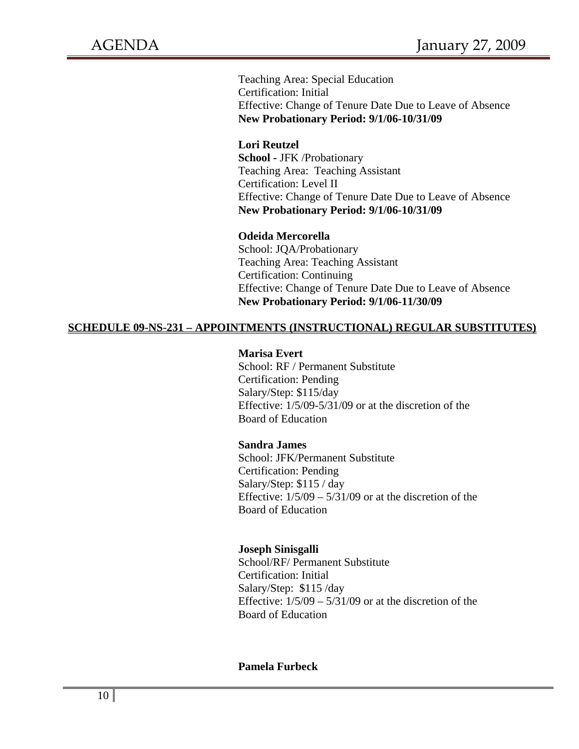Teaching Area: Special Education Certification: Initial Effective: Change of Tenure Date Due to Leave of Absence **New Probationary Period: 9/1/06-10/31/09** 

#### **Lori Reutzel**

 **School -** JFK /Probationary Teaching Area: Teaching Assistant Certification: Level II Effective: Change of Tenure Date Due to Leave of Absence **New Probationary Period: 9/1/06-10/31/09** 

#### **Odeida Mercorella**

 School: JQA/Probationary Teaching Area: Teaching Assistant Certification: Continuing Effective: Change of Tenure Date Due to Leave of Absence **New Probationary Period: 9/1/06-11/30/09**

#### **SCHEDULE 09-NS-231 – APPOINTMENTS (INSTRUCTIONAL) REGULAR SUBSTITUTES)**

#### **Marisa Evert**

School: RF / Permanent Substitute Certification: Pending Salary/Step: \$115/day Effective: 1/5/09-5/31/09 or at the discretion of the Board of Education

#### **Sandra James**

School: JFK/Permanent Substitute Certification: Pending Salary/Step: \$115 / day Effective:  $1/5/09 - 5/31/09$  or at the discretion of the Board of Education

#### **Joseph Sinisgalli**

School/RF/ Permanent Substitute Certification: Initial Salary/Step: \$115 /day Effective:  $1/5/09 - 5/31/09$  or at the discretion of the Board of Education

### **Pamela Furbeck**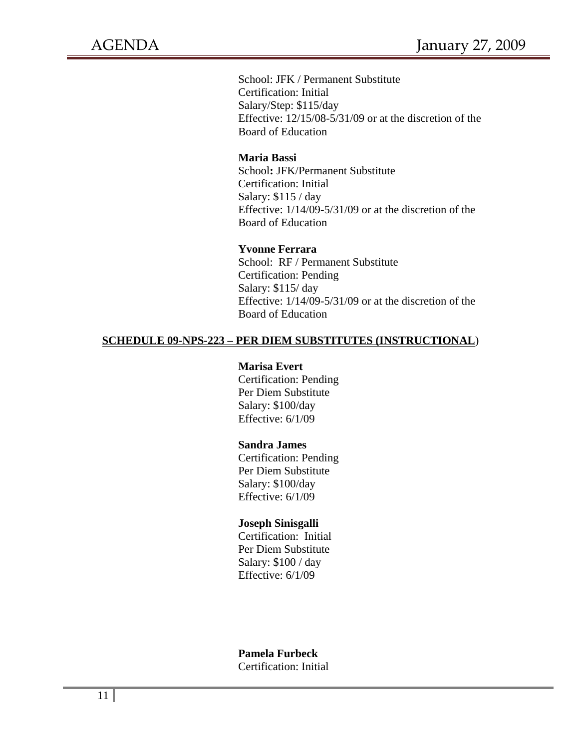School: JFK / Permanent Substitute Certification: Initial Salary/Step: \$115/day Effective: 12/15/08-5/31/09 or at the discretion of the Board of Education

### **Maria Bassi**

School**:** JFK/Permanent Substitute Certification: Initial Salary: \$115 / day Effective: 1/14/09-5/31/09 or at the discretion of the Board of Education

#### **Yvonne Ferrara**

School: RF / Permanent Substitute Certification: Pending Salary: \$115/ day Effective: 1/14/09-5/31/09 or at the discretion of the Board of Education

### **SCHEDULE 09-NPS-223 – PER DIEM SUBSTITUTES (INSTRUCTIONAL**)

#### **Marisa Evert**

Certification: Pending Per Diem Substitute Salary: \$100/day Effective: 6/1/09

#### **Sandra James**

Certification: Pending Per Diem Substitute Salary: \$100/day Effective: 6/1/09

#### **Joseph Sinisgalli**

Certification: Initial Per Diem Substitute Salary: \$100 / day Effective: 6/1/09

### **Pamela Furbeck**

Certification: Initial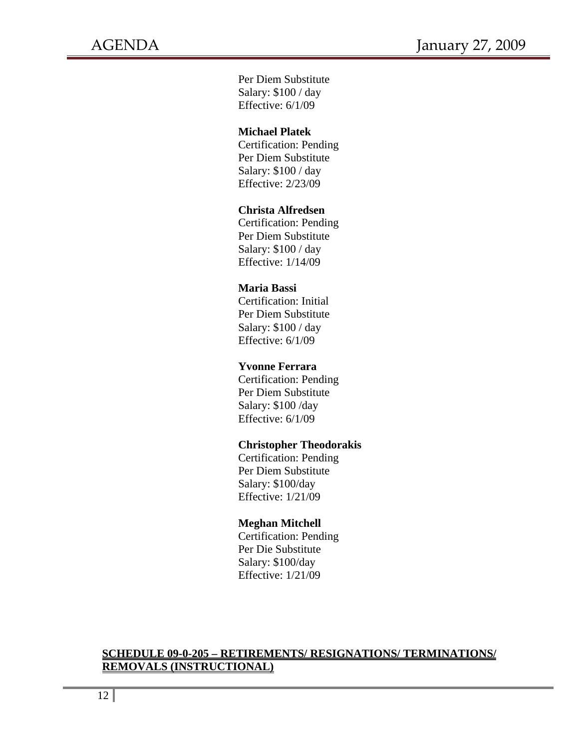Per Diem Substitute Salary: \$100 / day Effective: 6/1/09

### **Michael Platek**

Certification: Pending Per Diem Substitute Salary: \$100 / day Effective: 2/23/09

## **Christa Alfredsen**

Certification: Pending Per Diem Substitute Salary: \$100 / day Effective: 1/14/09

### **Maria Bassi**

Certification: Initial Per Diem Substitute Salary: \$100 / day Effective: 6/1/09

### **Yvonne Ferrara**

Certification: Pending Per Diem Substitute Salary: \$100 /day Effective: 6/1/09

### **Christopher Theodorakis**

Certification: Pending Per Diem Substitute Salary: \$100/day Effective: 1/21/09

### **Meghan Mitchell**

Certification: Pending Per Die Substitute Salary: \$100/day Effective: 1/21/09

### **SCHEDULE 09-0-205 – RETIREMENTS/ RESIGNATIONS/ TERMINATIONS/ REMOVALS (INSTRUCTIONAL)**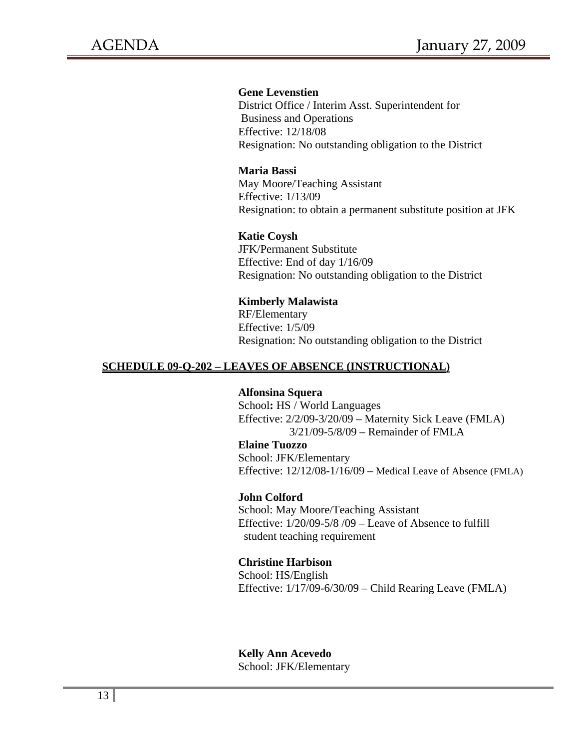### **Gene Levenstien**

District Office / Interim Asst. Superintendent for Business and Operations Effective: 12/18/08 Resignation: No outstanding obligation to the District

#### **Maria Bassi**

May Moore/Teaching Assistant Effective: 1/13/09 Resignation: to obtain a permanent substitute position at JFK

#### **Katie Coysh**

JFK/Permanent Substitute Effective: End of day 1/16/09 Resignation: No outstanding obligation to the District

#### **Kimberly Malawista**

RF/Elementary Effective: 1/5/09 Resignation: No outstanding obligation to the District

#### **SCHEDULE 09-Q-202 – LEAVES OF ABSENCE (INSTRUCTIONAL)**

#### **Alfonsina Squera**

School**:** HS / World Languages Effective: 2/2/09-3/20/09 – Maternity Sick Leave (FMLA) 3/21/09-5/8/09 – Remainder of FMLA

### **Elaine Tuozzo**

School: JFK/Elementary Effective: 12/12/08-1/16/09 – Medical Leave of Absence (FMLA)

#### **John Colford**

School: May Moore/Teaching Assistant Effective: 1/20/09-5/8 /09 – Leave of Absence to fulfill student teaching requirement

#### **Christine Harbison**

School: HS/English Effective: 1/17/09-6/30/09 – Child Rearing Leave (FMLA)

#### **Kelly Ann Acevedo**  School: JFK/Elementary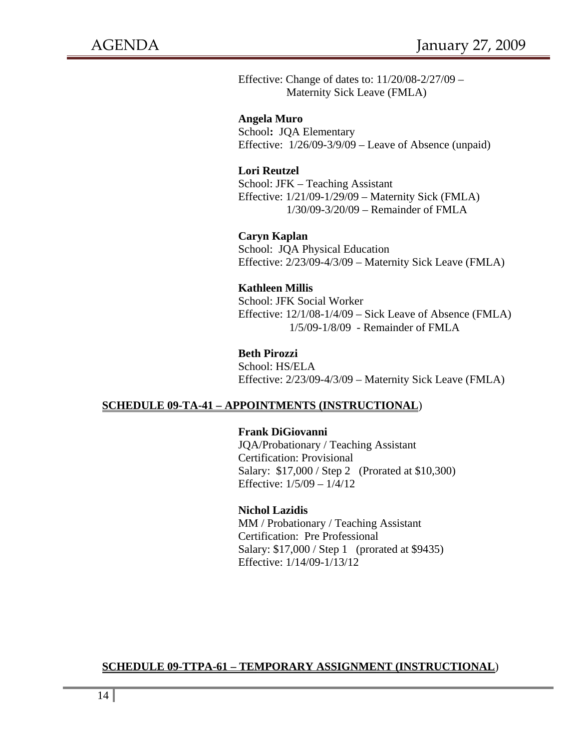Effective: Change of dates to: 11/20/08-2/27/09 – Maternity Sick Leave (FMLA)

 **Angela Muro**  School**:** JQA Elementary Effective: 1/26/09-3/9/09 – Leave of Absence (unpaid)

#### **Lori Reutzel**

School: JFK – Teaching Assistant Effective: 1/21/09-1/29/09 – Maternity Sick (FMLA) 1/30/09-3/20/09 – Remainder of FMLA

 **Caryn Kaplan**  School: JQA Physical Education Effective: 2/23/09-4/3/09 – Maternity Sick Leave (FMLA)

#### **Kathleen Millis**

School: JFK Social Worker Effective: 12/1/08-1/4/09 – Sick Leave of Absence (FMLA) 1/5/09-1/8/09 - Remainder of FMLA

#### **Beth Pirozzi**

School: HS/ELA Effective: 2/23/09-4/3/09 – Maternity Sick Leave (FMLA)

### **SCHEDULE 09-TA-41 – APPOINTMENTS (INSTRUCTIONAL**)

#### **Frank DiGiovanni**

JQA/Probationary / Teaching Assistant Certification: Provisional Salary: \$17,000 / Step 2 (Prorated at \$10,300) Effective: 1/5/09 – 1/4/12

#### **Nichol Lazidis**

MM / Probationary / Teaching Assistant Certification: Pre Professional Salary: \$17,000 / Step 1 (prorated at \$9435) Effective: 1/14/09-1/13/12

#### **SCHEDULE 09-TTPA-61 – TEMPORARY ASSIGNMENT (INSTRUCTIONAL**)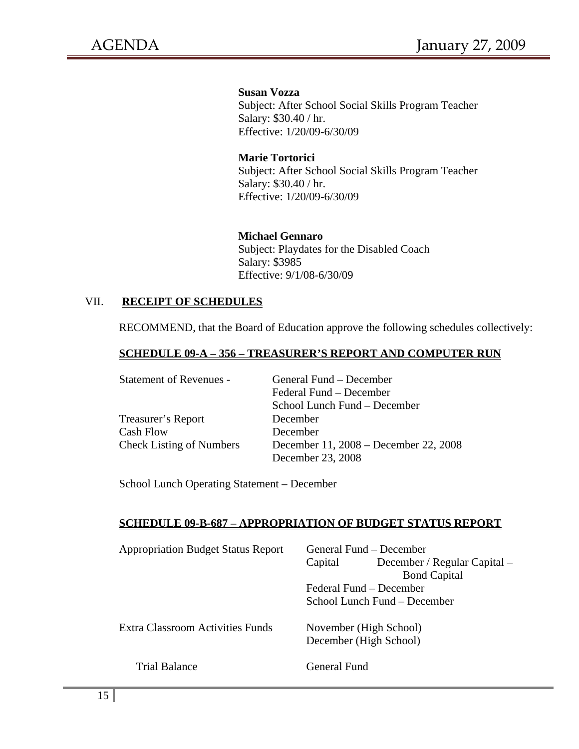**Susan Vozza**  Subject: After School Social Skills Program Teacher Salary: \$30.40 / hr. Effective: 1/20/09-6/30/09

# **Marie Tortorici**

Subject: After School Social Skills Program Teacher Salary: \$30.40 / hr. Effective: 1/20/09-6/30/09

### **Michael Gennaro**

Subject: Playdates for the Disabled Coach Salary: \$3985 Effective: 9/1/08-6/30/09

## VII. **RECEIPT OF SCHEDULES**

RECOMMEND, that the Board of Education approve the following schedules collectively:

### **SCHEDULE 09-A – 356 – TREASURER'S REPORT AND COMPUTER RUN**

| <b>Statement of Revenues -</b>  | General Fund – December               |  |  |
|---------------------------------|---------------------------------------|--|--|
|                                 | Federal Fund – December               |  |  |
|                                 | School Lunch Fund – December          |  |  |
| Treasurer's Report              | December                              |  |  |
| Cash Flow                       | December                              |  |  |
| <b>Check Listing of Numbers</b> | December 11, 2008 – December 22, 2008 |  |  |
|                                 | December 23, 2008                     |  |  |

School Lunch Operating Statement – December

### **SCHEDULE 09-B-687 – APPROPRIATION OF BUDGET STATUS REPORT**

| <b>Appropriation Budget Status Report</b> | General Fund – December<br>December / Regular Capital –<br>Capital<br><b>Bond Capital</b><br>Federal Fund – December |                                                        |  |
|-------------------------------------------|----------------------------------------------------------------------------------------------------------------------|--------------------------------------------------------|--|
| <b>Extra Classroom Activities Funds</b>   |                                                                                                                      | School Lunch Fund – December<br>November (High School) |  |
|                                           |                                                                                                                      | December (High School)                                 |  |
| <b>Trial Balance</b>                      | General Fund                                                                                                         |                                                        |  |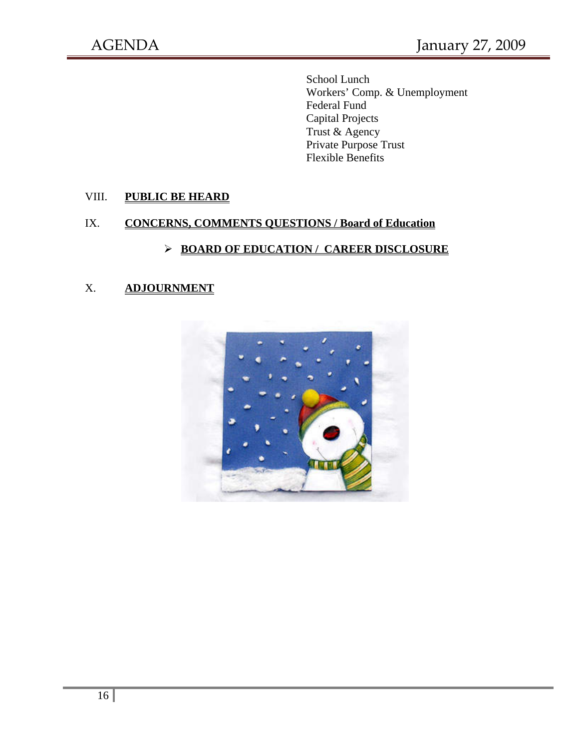School Lunch Workers' Comp. & Unemployment Federal Fund Capital Projects Trust & Agency Private Purpose Trust Flexible Benefits

## VIII. **PUBLIC BE HEARD**

# IX. **CONCERNS, COMMENTS QUESTIONS / Board of Education**

# ¾ **BOARD OF EDUCATION / CAREER DISCLOSURE**

## X. **ADJOURNMENT**